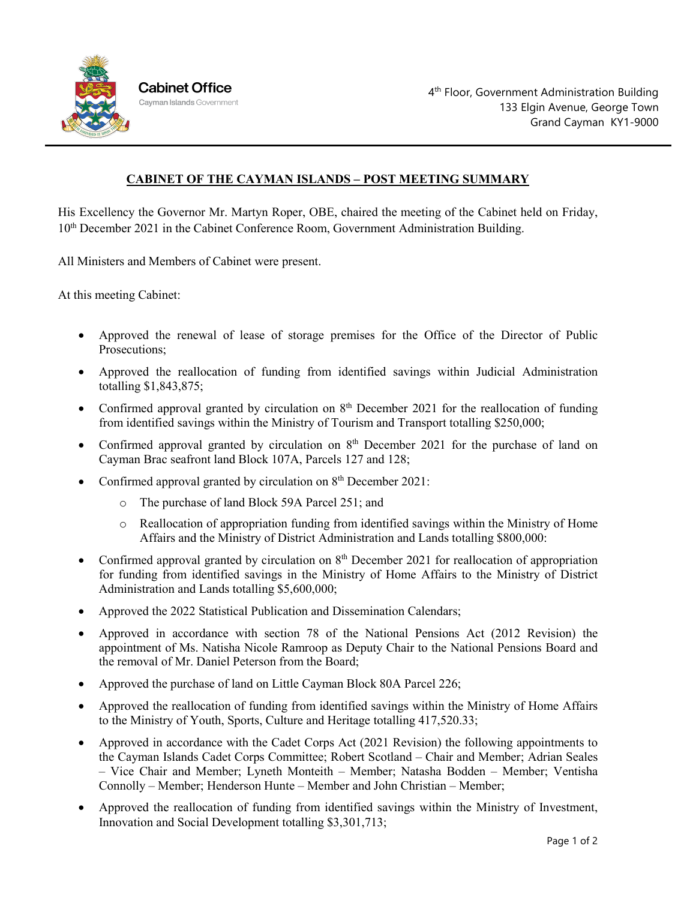

## **CABINET OF THE CAYMAN ISLANDS – POST MEETING SUMMARY**

His Excellency the Governor Mr. Martyn Roper, OBE, chaired the meeting of the Cabinet held on Friday, 10th December 2021 in the Cabinet Conference Room, Government Administration Building.

All Ministers and Members of Cabinet were present.

At this meeting Cabinet:

- Approved the renewal of lease of storage premises for the Office of the Director of Public Prosecutions;
- Approved the reallocation of funding from identified savings within Judicial Administration totalling \$1,843,875;
- Confirmed approval granted by circulation on  $8<sup>th</sup>$  December 2021 for the reallocation of funding from identified savings within the Ministry of Tourism and Transport totalling \$250,000;
- Confirmed approval granted by circulation on  $8<sup>th</sup>$  December 2021 for the purchase of land on Cayman Brac seafront land Block 107A, Parcels 127 and 128;
- Confirmed approval granted by circulation on 8<sup>th</sup> December 2021:
	- o The purchase of land Block 59A Parcel 251; and
	- o Reallocation of appropriation funding from identified savings within the Ministry of Home Affairs and the Ministry of District Administration and Lands totalling \$800,000:
- Confirmed approval granted by circulation on  $8<sup>th</sup>$  December 2021 for reallocation of appropriation for funding from identified savings in the Ministry of Home Affairs to the Ministry of District Administration and Lands totalling \$5,600,000;
- Approved the 2022 Statistical Publication and Dissemination Calendars;
- Approved in accordance with section 78 of the National Pensions Act (2012 Revision) the appointment of Ms. Natisha Nicole Ramroop as Deputy Chair to the National Pensions Board and the removal of Mr. Daniel Peterson from the Board;
- Approved the purchase of land on Little Cayman Block 80A Parcel 226;
- Approved the reallocation of funding from identified savings within the Ministry of Home Affairs to the Ministry of Youth, Sports, Culture and Heritage totalling 417,520.33;
- Approved in accordance with the Cadet Corps Act (2021 Revision) the following appointments to the Cayman Islands Cadet Corps Committee; Robert Scotland – Chair and Member; Adrian Seales – Vice Chair and Member; Lyneth Monteith – Member; Natasha Bodden – Member; Ventisha Connolly – Member; Henderson Hunte – Member and John Christian – Member;
- Approved the reallocation of funding from identified savings within the Ministry of Investment, Innovation and Social Development totalling \$3,301,713;